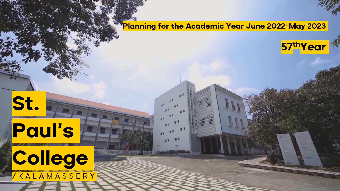**Planning for the Academic Year June 2022-May 2023**

**57thYear**

# **St.**

# **Paul's College**

Paul's e

 $\sqrt{K}$  A L A M A S S E R Y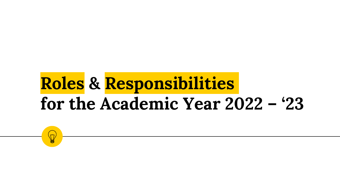# **Roles & Responsibilities for the Academic Year 2022 – '23**

 $\breve{\mathcal{M}}$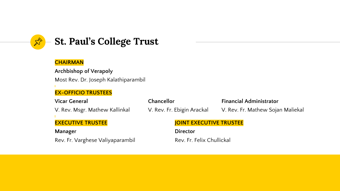

# **St. Paul's College Trust**

#### **CHAIRMAN**

**Archbishop of Verapoly** Most Rev. Dr. Joseph Kalathiparambil

#### **EX-OFFICIO TRUSTEES**

| Vicar General                    | Chancellor                     | <b>Financial Administrator</b>    |  |
|----------------------------------|--------------------------------|-----------------------------------|--|
| V. Rev. Msgr. Mathew Kallinkal   | V. Rev. Fr. Ebigin Arackal     | V. Rev. Fr. Mathew Sojan Maliekal |  |
| <b>EXECUTIVE TRUSTEE</b>         | <b>JOINT EXECUTIVE TRUSTEE</b> |                                   |  |
| Manager                          | <b>Director</b>                |                                   |  |
| Rev. Fr. Varghese Valiyaparambil | Rev. Fr. Felix Chullickal      |                                   |  |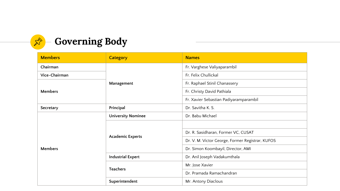

| <b>Members</b> | <b>Category</b>           | <b>Names</b>                                     |  |  |
|----------------|---------------------------|--------------------------------------------------|--|--|
| Chairman       |                           | Fr. Varghese Valiyaparambil                      |  |  |
| Vice-Chairman  | Management                | Fr. Felix Chullickal                             |  |  |
| <b>Members</b> |                           | Fr. Raphael Stinil Chanassery                    |  |  |
|                |                           | Fr. Christy David Pathiala                       |  |  |
|                |                           | Fr. Xavier Sebastian Padiyaramparambil           |  |  |
| Secretary      | Principal                 | Dr. Savitha K. S.                                |  |  |
| <b>Members</b> | <b>University Nominee</b> | Dr. Babu Michael                                 |  |  |
|                | <b>Academic Experts</b>   |                                                  |  |  |
|                |                           | Dr. R. Sasidharan, Former VC, CUSAT              |  |  |
|                |                           | Dr. V. M. Victor George, Former Registrar, KUFOS |  |  |
|                |                           | Dr. Simon Koombayil, Director, AMI               |  |  |
|                | <b>Industrial Expert</b>  | Dr. Anil Joseph Vadakumthala                     |  |  |
|                | <b>Teachers</b>           | Mr. Jose Xavier                                  |  |  |
|                |                           | Dr. Pramada Ramachandran                         |  |  |
|                | Superintendent            | Mr. Antony Diaclous                              |  |  |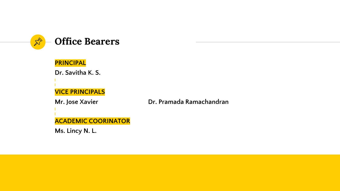

### **PRINCIPAL**

**Dr. Savitha K. S. VICE PRINCIPALS**

**Mr. Jose Xavier Dr. Pramada Ramachandran**

**ACADEMIC COORINATOR**

**Ms. Lincy N. L.**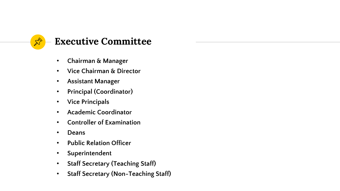

## **Executive Committee**

- **Chairman & Manager**
- **Vice Chairman & Director**
- **Assistant Manager**
- **Principal (Coordinator)**
- **Vice Principals**
- **Academic Coordinator**
- **Controller of Examination**
- **Deans**
- **Public Relation Officer**
- **Superintendent**
- **Staff Secretary (Teaching Staff)**
- **Staff Secretary (Non-Teaching Staff)**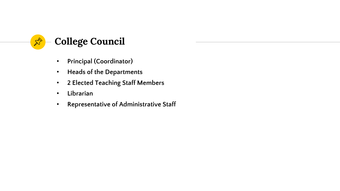

- **Principal (Coordinator)**
- **Heads of the Departments**
- **2 Elected Teaching Staff Members**
- **Librarian**
- **Representative of Administrative Staff**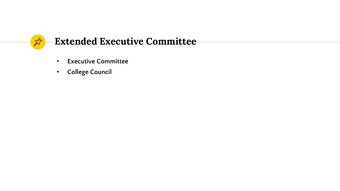

- **Executive Committee**
- **College Council**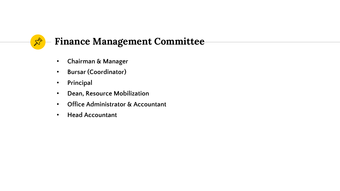# $\mathbb{X}^{\triangleright}$

# **Finance Management Committee**

- **Chairman & Manager**
- **Bursar (Coordinator)**
- **Principal**
- **Dean, Resource Mobilization**
- **Office Administrator & Accountant**
- **Head Accountant**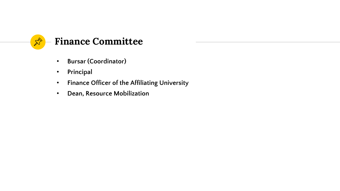

- **Bursar (Coordinator)**
- **Principal**
- **Finance Officer of the Affiliating University**
- **Dean, Resource Mobilization**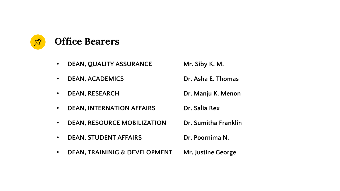

- **DEAN, QUALITY ASSURANCE Mr. Siby K. M.**
- **DEAN, ACADEMICS Dr. Asha E. Thomas**
- **DEAN, RESEARCH Dr. Manju K. Menon**
- 
- 
- 
- **DEAN, INTERNATION AFFAIRS Dr. Salia Rex**
- **DEAN, RESOURCE MOBILIZATION Dr. Sumitha Franklin**
- **DEAN, STUDENT AFFAIRS Dr. Poornima N.**
- **DEAN, TRAININIG & DEVELOPMENT Mr. Justine George**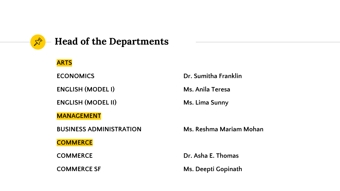

# **Head of the Departments**

#### **ARTS**

**ENGLISH (MODEL I) Ms. Anila Teresa**

**ENGLISH (MODEL II)** Ms. Lima Sunny

**MANAGEMENT**

**BUSINESS ADMINISTRATION Ms. Reshma Mariam Mohan**

**COMMERCE**

**ECONOMICS Dr. Sumitha Franklin**

**COMMERCE Dr. Asha E. Thomas** 

**COMMERCE SF Ms. Deepti** Gopinath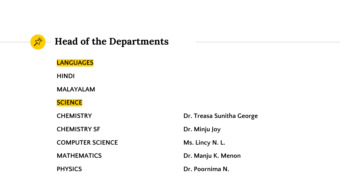

# **Head of the Departments**

**LANGUAGES HINDI MALAYALAM SCIENCE CHEMISTRY SF Dr. Minju Joy COMPUTER SCIENCE Ms. Lincy N. L. MATHEMATICS** Dr. Manju K. Menon **PHYSICS** Dr. Poornima N.

**CHEMISTRY Dr. Treasa Sunitha George**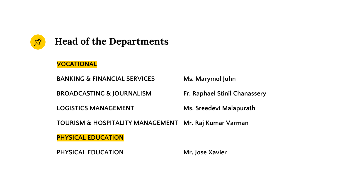

# **Head of the Departments**

#### **VOCATIONAL**

**BANKING & FINANCIAL SERVICES Ms. Marymol John**

**BROADCASTING & JOURNALISM Fr. Raphael Stinil Chanassery**

**LOGISTICS MANAGEMENT** Ms. Sreedevi Malapurath

**TOURISM & HOSPITALITY MANAGEMENT Mr. Raj Kumar Varman**

**PHYSICAL EDUCATION**

**PHYSICAL EDUCATION Mr. Jose Xavier**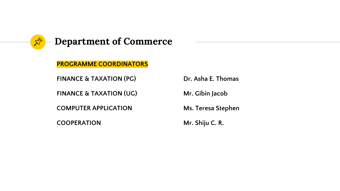

**PROGRAMME COORDINATORS**

**FINANCE & TAXATION (PG) Dr. Asha E. Thomas**

**FINANCE & TAXATION (UG)** Mr. Gibin Jacob

**COMPUTER APPLICATION Ms. Teresa Stephen**

**COOPERATION Mr. Shiju C. R.**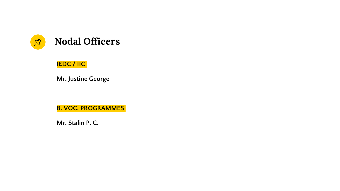

### **IEDC / IIC**

**Mr. Justine George**

**B. VOC. PROGRAMMES** 

**Mr. Stalin P. C.**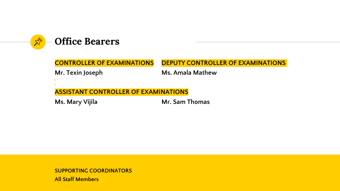

**CONTROLLER OF EXAMINATIONS DEPUTY CONTROLLER OF EXAMINATIONS Mr. Texin Joseph Ms. Amala Mathew ASSISTANT CONTROLLER OF EXAMINATIONS Ms. Mary Vijila Mr. Sam Thomas**

**SUPPORTING COORDINATORS All Staff Members**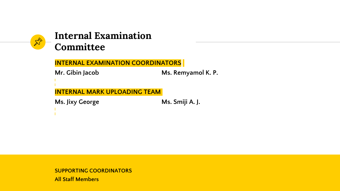

## **Internal Examination Committee**

**INTERNAL EXAMINATION COORDINATORS**

**Mr. Gibin Jacob Ms. Remyamol K. P.**

**INTERNAL MARK UPLOADING TEAM**

**Ms. Jixy George Ms. Smiji A. J.** 

**SUPPORTING COORDINATORS All Staff Members**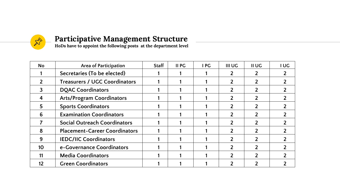

## **Participative Management Structure**

**HoDs have to appoint the following posts at the department level**

| No | <b>Area of Participation</b>         | <b>Staff</b> | <b>II PG</b> | I PG | <b>III UG</b> | II UG | I UG |
|----|--------------------------------------|--------------|--------------|------|---------------|-------|------|
|    | Secretaries (To be elected)          |              |              |      |               |       |      |
|    | <b>Treasurers / UGC Coordinators</b> |              |              |      |               |       |      |
|    | <b>DQAC Coordinators</b>             |              |              |      |               |       |      |
|    | <b>Arts/Program Coordinators</b>     |              |              |      |               |       |      |
|    | <b>Sports Coordinators</b>           |              |              |      |               |       |      |
|    | <b>Examination Coordinators</b>      |              |              |      |               |       |      |
|    | <b>Social Outreach Coordinators</b>  |              |              |      |               |       |      |
|    | <b>Placement-Career Coordinators</b> |              |              |      |               |       |      |
| 9  | <b>IEDC/IIC Coordinators</b>         |              |              |      |               |       |      |
| 10 | e-Governance Coordinators            |              |              |      |               |       |      |
|    | <b>Media Coordinators</b>            |              |              |      |               |       |      |
|    | <b>Green Coordinators</b>            |              |              |      |               |       |      |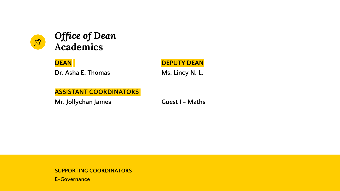

# *Office of Dean* **Academics**

**Dr. Asha E. Thomas Ms. Lincy N. L.** 

#### **DEAN DEPUTY DEAN**

**ASSISTANT COORDINATORS**

**Mr. Jollychan James Guest I - Maths**

#### **SUPPORTING COORDINATORS**

**E-Governance**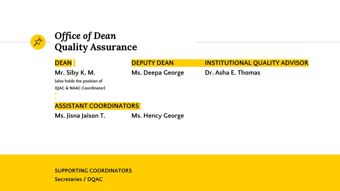# *Office of Dean* **Quality Assurance**

| <b>DEAN</b>                         | <b>DEPUTY DEAN</b> | <b>INSTITUTIONAL QUALITY ADVISOR</b> |
|-------------------------------------|--------------------|--------------------------------------|
| Mr. Siby K. M.                      | Ms. Deepa George   | Dr. Asha E. Thomas                   |
| (also holds the position of         |                    |                                      |
| <b>IQAC &amp; NAAC Coordinator)</b> |                    |                                      |
|                                     |                    |                                      |
|                                     |                    |                                      |
| <b>ASSISTANT COORDINATORS</b>       |                    |                                      |
| Ms. Jisna Jaison T.                 | Ms. Hency George   |                                      |

**SUPPORTING COORDINATORS Secretaries / DQAC**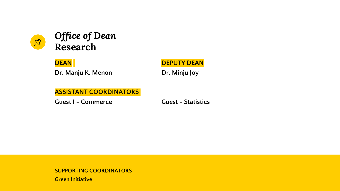

# *Office of Dean* **Research**

**Dr. Manju K. Menon Dr. Minju Joy** 

**DEAN DEPUTY DEAN** 

**ASSISTANT COORDINATORS**

**Guest I - Commerce Guest - Statistics**

#### **SUPPORTING COORDINATORS**

**Green Initiative**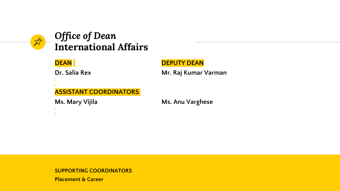

# *Office of Dean* **International Affairs**

#### **DEAN DEPUTY DEAN**

**Dr. Salia Rex 19. Mr. Raj Kumar Varman** 

### **ASSISTANT COORDINATORS**

#### **Ms. Mary Vijila Ms. Anu Varghese**

#### **SUPPORTING COORDINATORS**

**Placement & Career**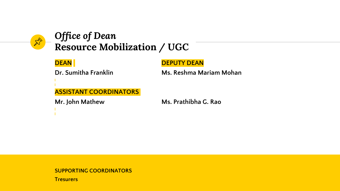

# *Office of Dean* **Resource Mobilization / UGC**

#### **DEAN DEPUTY DEAN**

**Dr. Sumitha Franklin Ms. Reshma Mariam Mohan**

**ASSISTANT COORDINATORS**

**Mr. John Mathew Ms. Prathibha G. Rao**

**SUPPORTING COORDINATORS**

**Tresurers**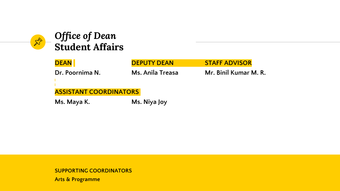

# *Office of Dean* **Student Affairs**

| <b>DEAN</b>                   | <b>DEPUTY DEAN</b> | <b>STAFF ADVISOR</b>  |  |  |
|-------------------------------|--------------------|-----------------------|--|--|
| Dr. Poornima N.               | Ms. Anila Treasa   | Mr. Binil Kumar M. R. |  |  |
|                               |                    |                       |  |  |
| <b>ASSISTANT COORDINATORS</b> |                    |                       |  |  |
| Ms. Maya K.                   | Ms. Niya Joy       |                       |  |  |

**SUPPORTING COORDINATORS**

**Arts & Programme**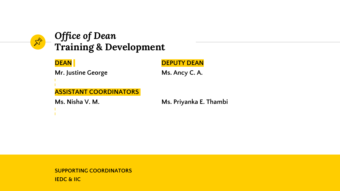

# *Office of Dean* **Training & Development**

| <b>DEAN</b>                   | <b>DEPUTY DEAN</b>     |
|-------------------------------|------------------------|
| Mr. Justine George            | Ms. Ancy C. A.         |
|                               |                        |
| <b>ASSISTANT COORDINATORS</b> |                        |
| Ms. Nisha V. M.               | Ms. Priyanka E. Thambi |
|                               |                        |

**SUPPORTING COORDINATORS IEDC & IIC**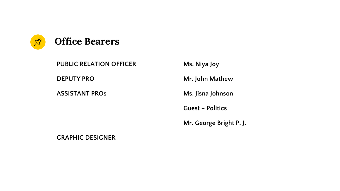

**PUBLIC RELATION OFFICER Ms. Niya Joy**

**ASSISTANT PROs Ms. Jisna Johnson**

**DEPUTY PRO** Mr. John Mathew

**Guest – Politics**

**Mr. George Bright P. J.**

**GRAPHIC DESIGNER**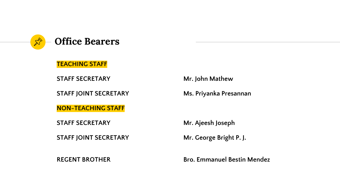

**TEACHING STAFF**

**STAFF SECRETARY Mr. John Mathew**

**STAFF JOINT SECRETARY Ms. Priyanka Presannan**

**NON-TEACHING STAFF**

**STAFF SECRETARY Mr. Ajeesh Joseph**

**STAFF JOINT SECRETARY Mr. George Bright P. J.** 

**REGENT BROTHER Bro. Emmanuel Bestin Mendez**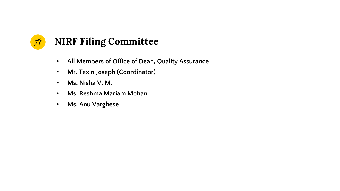

- **All Members of Office of Dean, Quality Assurance**
- **Mr. Texin Joseph (Coordinator)**
- **Ms. Nisha V. M.**
- **Ms. Reshma Mariam Mohan**
- **Ms. Anu Varghese**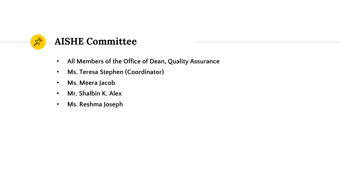

- **All Members of the Office of Dean, Quality Assurance**
- **Ms. Teresa Stephen (Coordinator)**
- **Ms. Meera Jacob**
- **Mr. Shalbin K. Alex**
- **Ms. Reshma Joseph**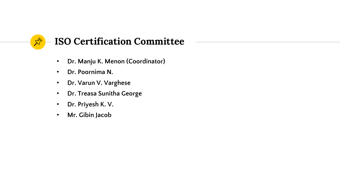

- **Dr. Manju K. Menon (Coordinator)**
- **Dr. Poornima N.**
- **Dr. Varun V. Varghese**
- **Dr. Treasa Sunitha George**
- **Dr. Priyesh K. V.**
- **Mr. Gibin Jacob**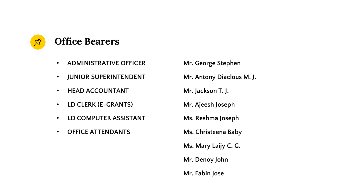

- **ADMINISTRATIVE OFFICER Mr. George Stephen**
- **JUNIOR SUPERINTENDENT Mr. Antony Diaclous M. J.**
- **HEAD ACCOUNTANT Mr. Jackson T. J.**
- **LD CLERK (E-GRANTS) Mr. Ajeesh Joseph**
- **LD COMPUTER ASSISTANT Ms. Reshma Joseph**
- **OFFICE ATTENDANTS Ms. Christeena Baby**
- - **Ms. Mary Laijy C. G.**
	- **Mr. Denoy John**
	- **Mr. Fabin Jose**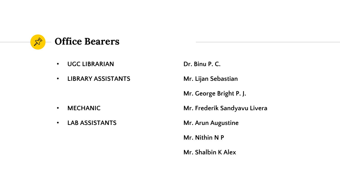

- **UGC LIBRARIAN Dr. Binu P. C.**
- **LIBRARY ASSISTANTS Mr. Lijan Sebastian**

- 
- **LAB ASSISTANTS Mr. Arun Augustine**

**Mr. George Bright P. J.**

• **MECHANIC Mr. Frederik Sandyavu Livera**

**Mr. Nithin N P**

**Mr. Shalbin K Alex**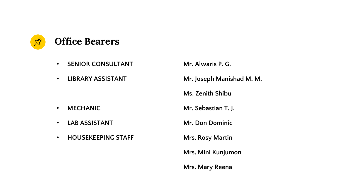

- **SENIOR CONSULTANT Mr. Alwaris P. G.**
- 

- **LAB ASSISTANT Mr. Don Dominic**
- **HOUSEKEEPING STAFF Mrs. Rosy Martin**

• **LIBRARY ASSISTANT Mr. Joseph Manishad M. M.**

**Ms. Zenith Shibu**

• **MECHANIC Mr. Sebastian T. J.**

**Mrs. Mini Kunjumon**

**Mrs. Mary Reena**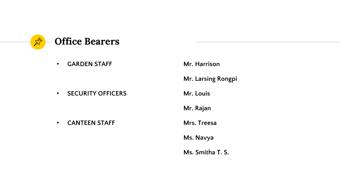

• **GARDEN STAFF Mr. Harrison**

**• SECURITY OFFICERS Mr. Louis** 

- **CANTEEN STAFF Mrs. Treesa**
- **Mr. Larsing Rongpi Mr. Rajan Ms. Navya Ms. Smitha T. S.**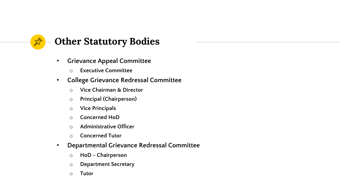

- **Grievance Appeal Committee**
	- o **Executive Committee**
- **College Grievance Redressal Committee**
	- o **Vice Chairman & Director**
	- o **Principal (Chairperson)**
	- o **Vice Principals**
	- o **Concerned HoD**
	- o **Administrative Officer**
	- o **Concerned Tutor**
- **Departmental Grievance Redressal Committee**
	- o **HoD - Chairperson**
	- o **Department Secretary**
	- o **Tutor**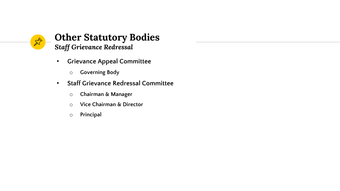

## **Other Statutory Bodies** *Staff Grievance Redressal*

- **Grievance Appeal Committee**
	- o **Governing Body**
- **Staff Grievance Redressal Committee**
	- o **Chairman & Manager**
	- o **Vice Chairman & Director**
	- o **Principal**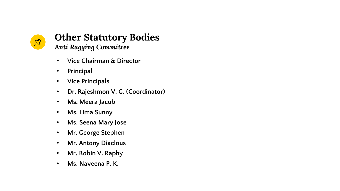

## **Other Statutory Bodies** *Anti Ragging Committee*

- **Vice Chairman & Director**
- **Principal**
- **Vice Principals**
- **Dr. Rajeshmon V. G. (Coordinator)**
- **Ms. Meera Jacob**
- **Ms. Lima Sunny**
- **Ms. Seena Mary Jose**
- **Mr. George Stephen**
- **Mr. Antony Diaclous**
- **Mr. Robin V. Raphy**
- **Ms. Naveena P. K.**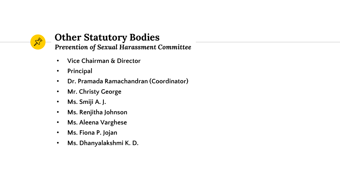

# **Other Statutory Bodies**

*Prevention of Sexual Harassment Committee*

- **Vice Chairman & Director**
- **Principal**
- **Dr. Pramada Ramachandran (Coordinator)**
- **Mr. Christy George**
- **Ms. Smiji A. J.**
- **Ms. Renjitha Johnson**
- **Ms. Aleena Varghese**
- **Ms. Fiona P. Jojan**
- **Ms. Dhanyalakshmi K. D.**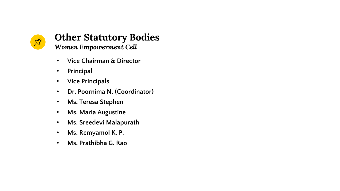

## **Other Statutory Bodies** *Women Empowerment Cell*

- **Vice Chairman & Director**
- **Principal**
- **Vice Principals**
- **Dr. Poornima N. (Coordinator)**
- **Ms. Teresa Stephen**
- **Ms. Maria Augustine**
- **Ms. Sreedevi Malapurath**
- **Ms. Remyamol K. P.**
- **Ms. Prathibha G. Rao**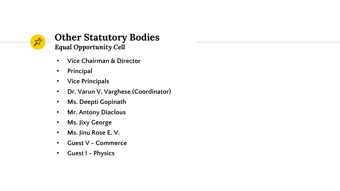

## **Other Statutory Bodies** *Equal Opportunity Cell*

- **Vice Chairman & Director**
- **Principal**
- **Vice Principals**
- **Dr. Varun V. Varghese (Coordinator)**
- **Ms. Deepti Gopinath**
- **Mr. Antony Diaclous**
- **Ms. Jixy George**
- **Ms. Jinu Rose E. V.**
- **Guest V - Commerce**
- **Guest I - Physics**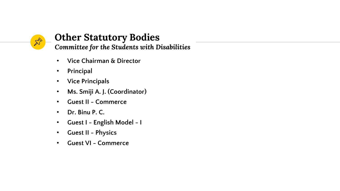

# **Other Statutory Bodies**

*Committee for the Students with Disabilities*

- **Vice Chairman & Director**
- **Principal**
- **Vice Principals**
- **Ms. Smiji A. J. (Coordinator)**
- **Guest II - Commerce**
- **Dr. Binu P. C.**
- **Guest I - English Model - I**
- **Guest II - Physics**
- **Guest VI - Commerce**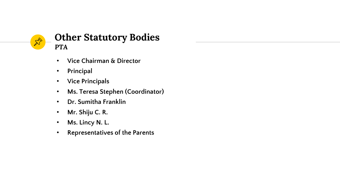

## **Other Statutory Bodies** *PTA*

- **Vice Chairman & Director**
- **Principal**
- **Vice Principals**
- **Ms. Teresa Stephen (Coordinator)**
- **Dr. Sumitha Franklin**
- **Mr. Shiju C. R.**
- **Ms. Lincy N. L.**
- **Representatives of the Parents**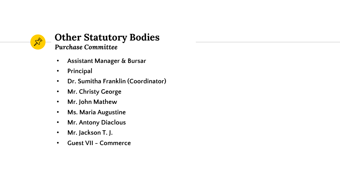

# **Other Statutory Bodies**

- *Purchase Committee*
- **Assistant Manager & Bursar**
- **Principal**
- **Dr. Sumitha Franklin (Coordinator)**
- **Mr. Christy George**
- **Mr. John Mathew**
- **Ms. Maria Augustine**
- **Mr. Antony Diaclous**
- **Mr. Jackson T. J.**
- **Guest VII - Commerce**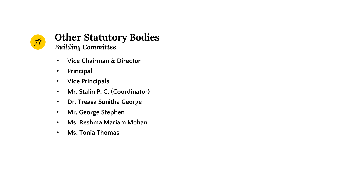

## **Other Statutory Bodies** *Building Committee*

- **Vice Chairman & Director**
- **Principal**
- **Vice Principals**
- **Mr. Stalin P. C. (Coordinator)**
- **Dr. Treasa Sunitha George**
- **Mr. George Stephen**
- **Ms. Reshma Mariam Mohan**
- **Ms. Tonia Thomas**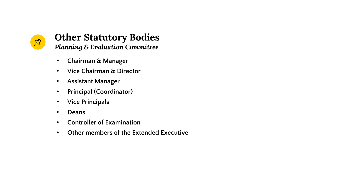

## **Other Statutory Bodies** *Planning & Evaluation Committee*

- **Chairman & Manager**
- **Vice Chairman & Director**
- **Assistant Manager**
- **Principal (Coordinator)**
- **Vice Principals**
- **Deans**
- **Controller of Examination**
- **Other members of the Extended Executive**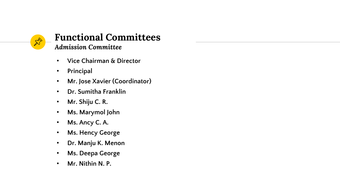

### **Functional Committees** *Admission Committee*

- **Vice Chairman & Director**
- **Principal**
- **Mr. Jose Xavier (Coordinator)**
- **Dr. Sumitha Franklin**
- **Mr. Shiju C. R.**
- **Ms. Marymol John**
- **Ms. Ancy C. A.**
- **Ms. Hency George**
- **Dr. Manju K. Menon**
- **Ms. Deepa George**
- **Mr. Nithin N. P.**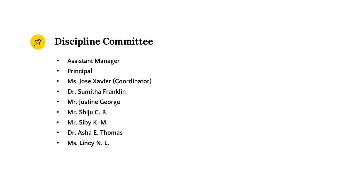

- **Assistant Manager**
- **Principal**
- **Ms. Jose Xavier (Coordinator)**
- **Dr. Sumitha Franklin**
- **Mr. Justine George**
- **Mr. Shiju C. R.**
- **Mr. Siby K. M.**
- **Dr. Asha E. Thomas**
- **Ms. Lincy N. L.**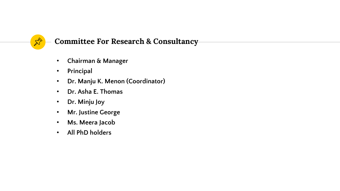

### **Committee For Research & Consultancy**

- **Chairman & Manager**
- **Principal**
- **Dr. Manju K. Menon (Coordinator)**
- **Dr. Asha E. Thomas**
- **Dr. Minju Joy**
- **Mr. Justine George**
- **Ms. Meera Jacob**
- **All PhD holders**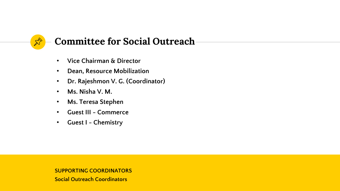

# **Committee for Social Outreach**

- **Vice Chairman & Director**
- **Dean, Resource Mobilization**
- **Dr. Rajeshmon V. G. (Coordinator)**
- **Ms. Nisha V. M.**
- **Ms. Teresa Stephen**
- **Guest III - Commerce**
- **Guest I - Chemistry**

**SUPPORTING COORDINATORS**

**Social Outreach Coordinators**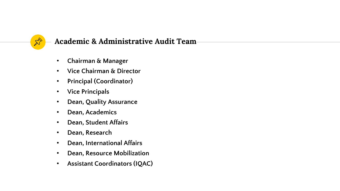

## **Academic & Administrative Audit Team**

- **Chairman & Manager**
- **Vice Chairman & Director**
- **Principal (Coordinator)**
- **Vice Principals**
- **Dean, Quality Assurance**
- **Dean, Academics**
- **Dean, Student Affairs**
- **Dean, Research**
- **Dean, International Affairs**
- **Dean, Resource Mobilization**
- **Assistant Coordinators (IQAC)**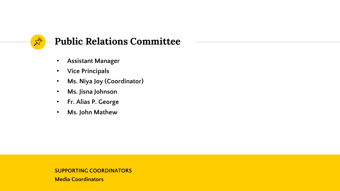

# **Public Relations Committee**

- **Assistant Manager**
- **Vice Principals**
- **Ms. Niya Joy (Coordinator)**
- **Ms. Jisna Johnson**
- **Fr. Alias P. George**
- **Ms. John Mathew**

#### **SUPPORTING COORDINATORS**

**Media Coordinators**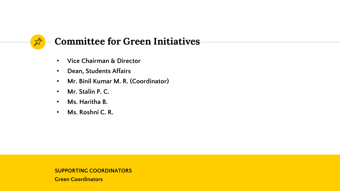

# **Committee for Green Initiatives**

- **Vice Chairman & Director**
- **Dean, Students Affairs**
- **Mr. Binil Kumar M. R. (Coordinator)**
- **Mr. Stalin P. C.**
- **Ms. Haritha B.**
- **Ms. Roshni C. R.**

### **SUPPORTING COORDINATORS**

**Green Coordinators**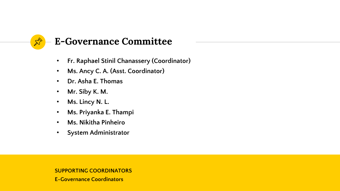# 龙

# **E-Governance Committee**

- **Fr. Raphael Stinil Chanassery (Coordinator)**
- **Ms. Ancy C. A. (Asst. Coordinator)**
- **Dr. Asha E. Thomas**
- **Mr. Siby K. M.**
- **Ms. Lincy N. L.**
- **Ms. Priyanka E. Thampi**
- **Ms. Nikitha Pinheiro**
- **System Administrator**

### **SUPPORTING COORDINATORS**

**E-Governance Coordinators**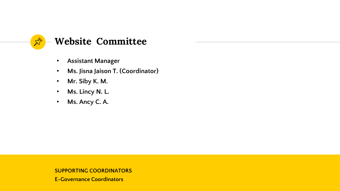

- **Assistant Manager**
- **Ms. Jisna Jaison T. (Coordinator)**
- **Mr. Siby K. M.**
- **Ms. Lincy N. L.**
- **Ms. Ancy C. A.**

**SUPPORTING COORDINATORS**

**E-Governance Coordinators**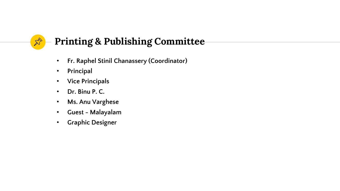# **Printing & Publishing Committee**

- **Fr. Raphel Stinil Chanassery (Coordinator)**
- **Principal**

 $\mathbb{X}^{\!\!\!>}$ 

- **Vice Principals**
- **Dr. Binu P. C.**
- **Ms. Anu Varghese**
- **Guest - Malayalam**
- **Graphic Designer**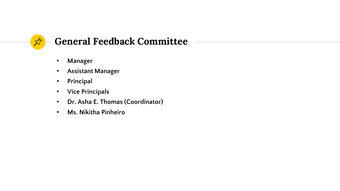

# **General Feedback Committee**

- **Manager**
- **Assistant Manager**
- **Principal**
- **Vice Principals**
- **Dr. Asha E. Thomas (Coordinator)**
- **Ms. Nikitha Pinheiro**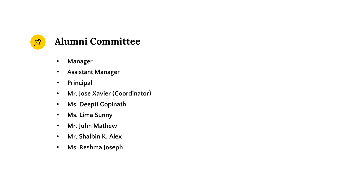

- **Manager**
- **Assistant Manager**
- **Principal**
- **Mr. Jose Xavier (Coordinator)**
- **Ms. Deepti Gopinath**
- **Ms. Lima Sunny**
- **Mr. John Mathew**
- **Mr. Shalbin K. Alex**
- **Ms. Reshma Joseph**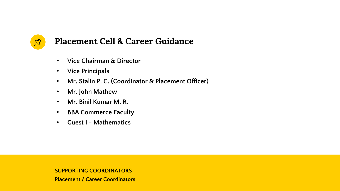

## **Placement Cell & Career Guidance**

- **Vice Chairman & Director**
- **Vice Principals**
- **Mr. Stalin P. C. (Coordinator & Placement Officer)**
- **Mr. John Mathew**
- **Mr. Binil Kumar M. R.**
- **BBA Commerce Faculty**
- **Guest I - Mathematics**

**SUPPORTING COORDINATORS**

**Placement / Career Coordinators**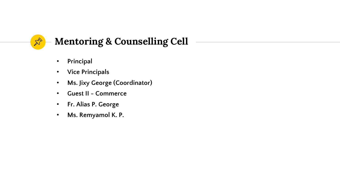

# **Mentoring & Counselling Cell**

- **Principal**
- **Vice Principals**
- **Ms. Jixy George (Coordinator)**
- **Guest II - Commerce**
- **Fr. Alias P. George**
- **Ms. Remyamol K. P.**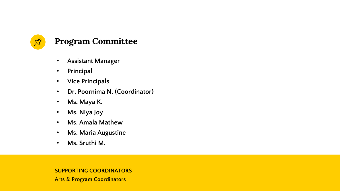

## **Program Committee**

- **Assistant Manager**
- **Principal**
- **Vice Principals**
- **Dr. Poornima N. (Coordinator)**
- **Ms. Maya K.**
- **Ms. Niya Joy**
- **Ms. Amala Mathew**
- **Ms. Maria Augustine**
- **Ms. Sruthi M.**

### **SUPPORTING COORDINATORS**

**Arts & Program Coordinators**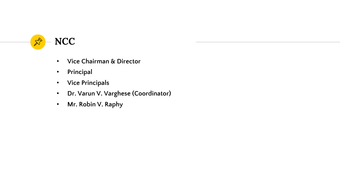

- **Vice Chairman & Director**
- **Principal**
- **Vice Principals**
- **Dr. Varun V. Varghese (Coordinator)**
- **Mr. Robin V. Raphy**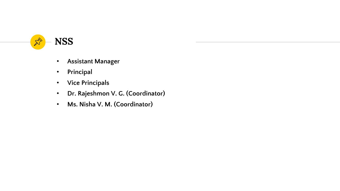

- **Assistant Manager**
- **Principal**
- **Vice Principals**
- **Dr. Rajeshmon V. G. (Coordinator)**
- **Ms. Nisha V. M. (Coordinator)**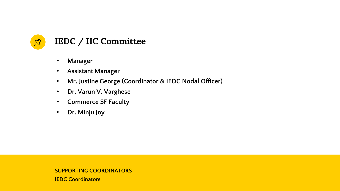

- **Manager**
- **Assistant Manager**
- **Mr. Justine George (Coordinator & IEDC Nodal Officer)**
- **Dr. Varun V. Varghese**
- **Commerce SF Faculty**
- **Dr. Minju Joy**

### **SUPPORTING COORDINATORS**

**IEDC Coordinators**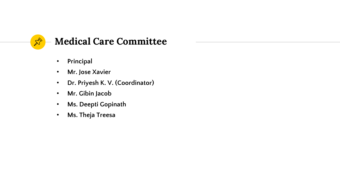

- **Principal**
- **Mr. Jose Xavier**
- **Dr. Priyesh K. V. (Coordinator)**
- **Mr. Gibin Jacob**
- **Ms. Deepti Gopinath**
- **Ms. Theja Treesa**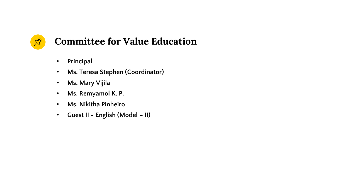

# **Committee for Value Education**

- **Principal**
- **Ms. Teresa Stephen (Coordinator)**
- **Ms. Mary Vijila**
- **Ms. Remyamol K. P.**
- **Ms. Nikitha Pinheiro**
- **Guest II - English (Model – II)**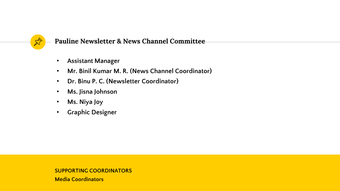

**Pauline Newsletter & News Channel Committee**

- **Assistant Manager**
- **Mr. Binil Kumar M. R. (News Channel Coordinator)**
- **Dr. Binu P. C. (Newsletter Coordinator)**
- **Ms. Jisna Johnson**
- **Ms. Niya Joy**
- **Graphic Designer**

### **SUPPORTING COORDINATORS**

**Media Coordinators**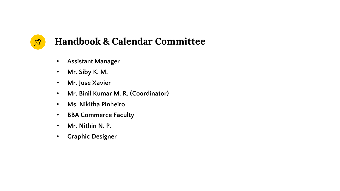

# **Handbook & Calendar Committee**

- **Assistant Manager**
- **Mr. Siby K. M.**
- **Mr. Jose Xavier**
- **Mr. Binil Kumar M. R. (Coordinator)**
- **Ms. Nikitha Pinheiro**
- **BBA Commerce Faculty**
- **Mr. Nithin N. P.**
- **Graphic Designer**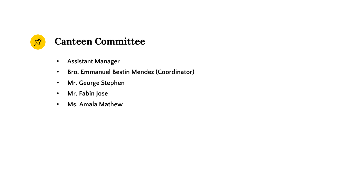

- **Assistant Manager**
- **Bro. Emmanuel Bestin Mendez (Coordinator)**
- **Mr. George Stephen**
- **Mr. Fabin Jose**
- **Ms. Amala Mathew**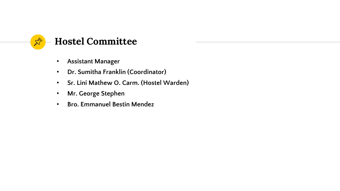

- **Assistant Manager**
- **Dr. Sumitha Franklin (Coordinator)**
- **Sr. Lini Mathew O. Carm. (Hostel Warden)**
- **Mr. George Stephen**
- **Bro. Emmanuel Bestin Mendez**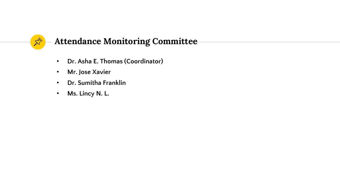

## **Attendance Monitoring Committee**

- **Dr. Asha E. Thomas (Coordinator)**
- **Mr. Jose Xavier**
- **Dr. Sumitha Franklin**
- **Ms. Lincy N. L.**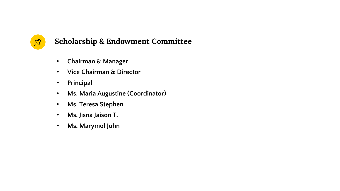

## **Scholarship & Endowment Committee**

- **Chairman & Manager**
- **Vice Chairman & Director**
- **Principal**
- **Ms. Maria Augustine (Coordinator)**
- **Ms. Teresa Stephen**
- **Ms. Jisna Jaison T.**
- **Ms. Marymol John**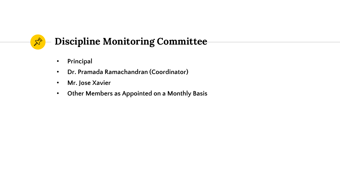# **Discipline Monitoring Committee**

• **Principal**

 $\mathbb{Z}^{\triangleright}$ 

- **Dr. Pramada Ramachandran (Coordinator)**
- **Mr. Jose Xavier**
- **Other Members as Appointed on a Monthly Basis**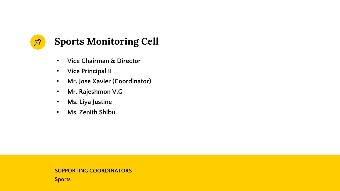

- **Vice Chairman & Director**
- **Vice Principal II**
- **Mr. Jose Xavier (Coordinator)**
- **Mr. Rajeshmon V.G**
- **Ms. Liya Justine**
- **Ms. Zenith Shibu**

#### **SUPPORTING COORDINATORS**

**Sports**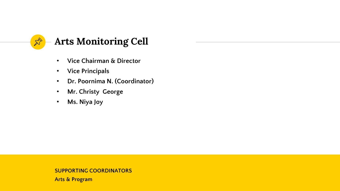

- **Vice Chairman & Director**
- **Vice Principals**
- **Dr. Poornima N. (Coordinator)**
- **Mr. Christy George**
- **Ms. Niya Joy**

#### **SUPPORTING COORDINATORS**

**Arts & Program**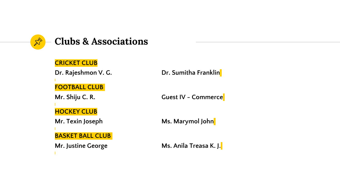

#### **CRICKET CLUB**

**FOOTBALL CLUB**

**HOCKEY CLUB**

**BASKET BALL CLUB**

**Dr.** Rajeshmon V. G. **Dr.** Sumitha Franklin

**Mr. Shiju C. R. Guest IV - Commerce** 

**Mr. Texin Joseph Ms. Marymol** John

**Mr. Justine George Ms. Anila Treasa K. J.**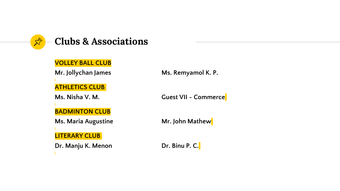

#### **VOLLEY BALL CLUB**

**Mr. Jollychan James Ms. Remyamol K. P.**

**ATHLETICS CLUB**

**Ms. Nisha V. M. Guest VII - Commerce**

**BADMINTON CLUB**

**Ms. Maria Augustine Mr. John Mathew** 

**LITERARY CLUB**

**Dr. Manju K. Menon Dr. Binu P. C.**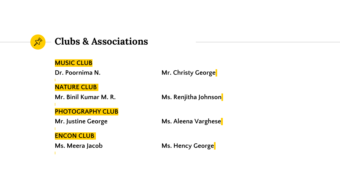

#### **MUSIC CLUB**

### **NATURE CLUB**

**Mr. Binil Kumar M. R. Ms. Renjitha Johnson**

#### **PHOTOGRAPHY CLUB**

**ENCON CLUB**

**Dr. Poornima N. Mr. Christy George** 

**Mr. Justine George Ms. Aleena Varghese** 

**Ms. Meera Jacob Ms. Hency George**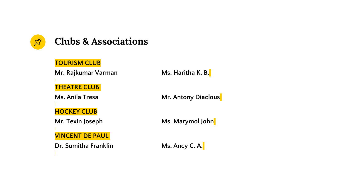

### **TOURISM CLUB**

**Mr. Rajkumar Varman Ms. Haritha K. B.** 

#### **THEATRE CLUB**

#### **HOCKEY CLUB**

**VINCENT DE PAUL**

**Dr. Sumitha Franklin Ms. Ancy C. A.** 

**Ms. Anila Tresa Mr. Antony Diaclous** 

**Mr. Texin Joseph Ms. Marymol** John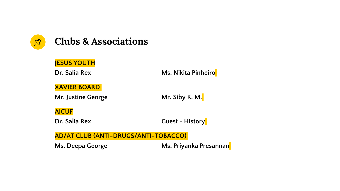

### **JESUS YOUTH**

**Dr. Salia Rex Ms. Nikita Pinheiro** 

**XAVIER BOARD**

**Mr. Justine George Mr. Siby K. M.** 

**AICUF**

**Dr. Salia Rex Guest - History** 

**AD/AT CLUB (ANTI-DRUGS/ANTI-TOBACCO)**

**Ms. Deepa George Ms. Priyanka Presannan**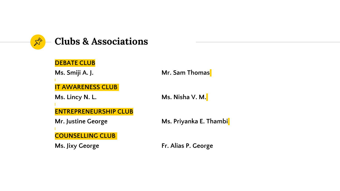

#### **DEBATE CLUB**

**Ms. Smiji A. J. Mr. Sam Thomas** 

**IT AWARENESS CLUB**

**Ms. Lincy N. L. Ms. Nisha V. M.** 

**ENTREPRENEURSHIP CLUB**

**COUNSELLING CLUB**

**Mr. Justine George Ms. Priyanka E. Thambi**

**Ms. Jixy George Fr. Alias P. George**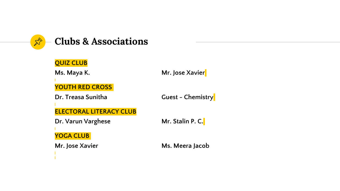

### **QUIZ CLUB**

#### **Ms. Maya K. Mr. Jose Xavier**

**YOUTH RED CROSS**

**Dr. Treasa Sunitha Guest - Chemistry**

## **ELECTORAL LITERACY CLUB**

**Dr. Varun Varghese Mr. Stalin P. C.** 

**YOGA CLUB**

**Mr. Jose Xavier Ms. Meera Jacob**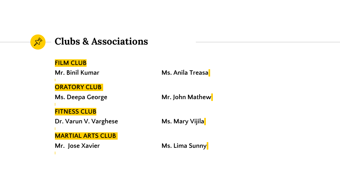

#### **FILM CLUB**

**ORATORY CLUB**

**Ms. Deepa George Mr. John Mathew** 

**FITNESS CLUB**

**Dr. Varun V. Varghese Ms. Mary Vijila** 

**MARTIAL ARTS CLUB**

**Mr.** Jose Xavier **Ms. Lima Sunny** 

**Mr. Binil Kumar Ms. Anila Treasa**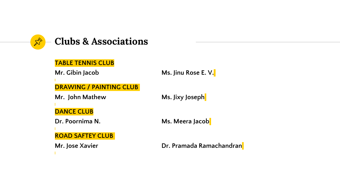

#### **TABLE TENNIS CLUB**

**Mr. Gibin Jacob Ms. Jinu Rose E. V.**

**DRAWING / PAINTING CLUB**

**Mr. John Mathew Ms. Jixy Joseph**

**DANCE CLUB**

**ROAD SAFTEY CLUB**

**Dr. Poornima N. Ms. Meera Jacob**

**Mr. Jose Xavier Dr. Pramada Ramachandran**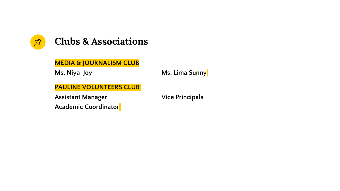

#### **MEDIA & JOURNALISM CLUB**

**Ms. Niya Joy Ms. Lima Sunny**

**PAULINE VOLUNTEERS CLUB**

**Assistant Manager Vice Principals**

**Academic Coordinator**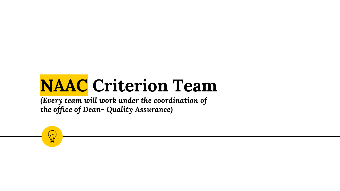# **NAAC Criterion Team**

*(Every team will work under the coordination of the office of Dean- Quality Assurance)*

 $\breve{\mathcal{M}}$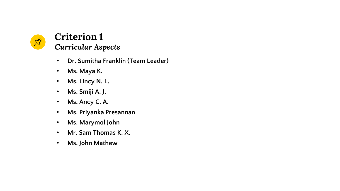

## **Criterion 1** *Curricular Aspects*

- **Dr. Sumitha Franklin (Team Leader)**
- **Ms. Maya K.**
- **Ms. Lincy N. L.**
- **Ms. Smiji A. J.**
- **Ms. Ancy C. A.**
- **Ms. Priyanka Presannan**
- **Ms. Marymol John**
- **Mr. Sam Thomas K. X.**
- **Ms. John Mathew**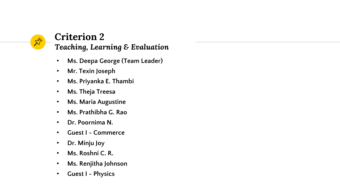

## **Criterion 2** *Teaching, Learning & Evaluation*

- **Ms. Deepa George (Team Leader)**
- **Mr. Texin Joseph**
- **Ms. Priyanka E. Thambi**
- **Ms. Theja Treesa**
- **Ms. Maria Augustine**
- **Ms. Prathibha G. Rao**
- **Dr. Poornima N.**
- **Guest I - Commerce**
- **Dr. Minju Joy**
- **Ms. Roshni C. R.**
- **Ms. Renjitha Johnson**
- **Guest I - Physics**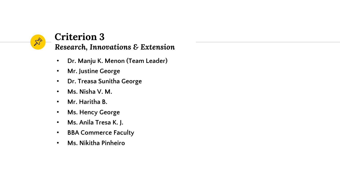# $\hat{\mathbb{X}}$

# **Criterion 3**

*Research, Innovations & Extension*

- **Dr. Manju K. Menon (Team Leader)**
- **Mr. Justine George**
- **Dr. Treasa Sunitha George**
- **Ms. Nisha V. M.**
- **Mr. Haritha B.**
- **Ms. Hency George**
- **Ms. Anila Tresa K. J.**
- **BBA Commerce Faculty**
- **Ms. Nikitha Pinheiro**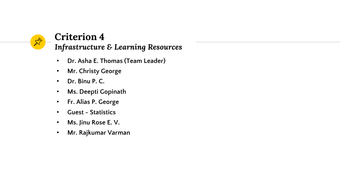# $\mathbb{X}^{\triangleright}$

# **Criterion 4**

- *Infrastructure & Learning Resources*
- **Dr. Asha E. Thomas (Team Leader)**
- **Mr. Christy George**
- **Dr. Binu P. C.**
- **Ms. Deepti Gopinath**
- **Fr. Alias P. George**
- **Guest - Statistics**
- **Ms. Jinu Rose E. V.**
- **Mr. Rajkumar Varman**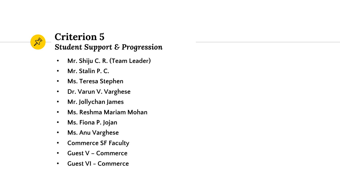

## **Criterion 5** *Student Support & Progression*

- **Mr. Shiju C. R. (Team Leader)**
- **Mr. Stalin P. C.**
- **Ms. Teresa Stephen**
- **Dr. Varun V. Varghese**
- **Mr. Jollychan James**
- **Ms. Reshma Mariam Mohan**
- **Ms. Fiona P. Jojan**
- **Ms. Anu Varghese**
- **Commerce SF Faculty**
- **Guest V – Commerce**
- **Guest VI - Commerce**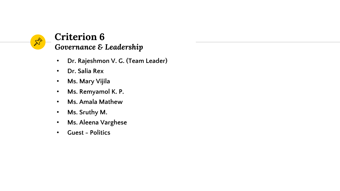

## **Criterion 6** *Governance & Leadership*

- **Dr. Rajeshmon V. G. (Team Leader)**
- **Dr. Salia Rex**
- **Ms. Mary Vijila**
- **Ms. Remyamol K. P.**
- **Ms. Amala Mathew**
- **Ms. Sruthy M.**
- **Ms. Aleena Varghese**
- **Guest - Politics**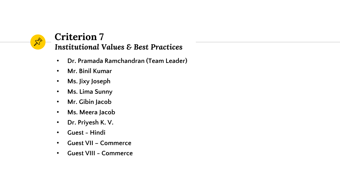

## **Criterion 7** *Institutional Values & Best Practices*

- **Dr. Pramada Ramchandran (Team Leader)**
- **Mr. Binil Kumar**
- **Ms. Jixy Joseph**
- **Ms. Lima Sunny**
- **Mr. Gibin Jacob**
- **Ms. Meera Jacob**
- **Dr. Priyesh K. V.**
- **Guest - Hindi**
- **Guest VII – Commerce**
- **Guest VIII - Commerce**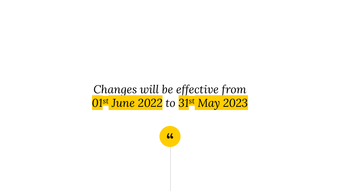# *Changes will be effective from 01st June 2022 to 31st May 2023*